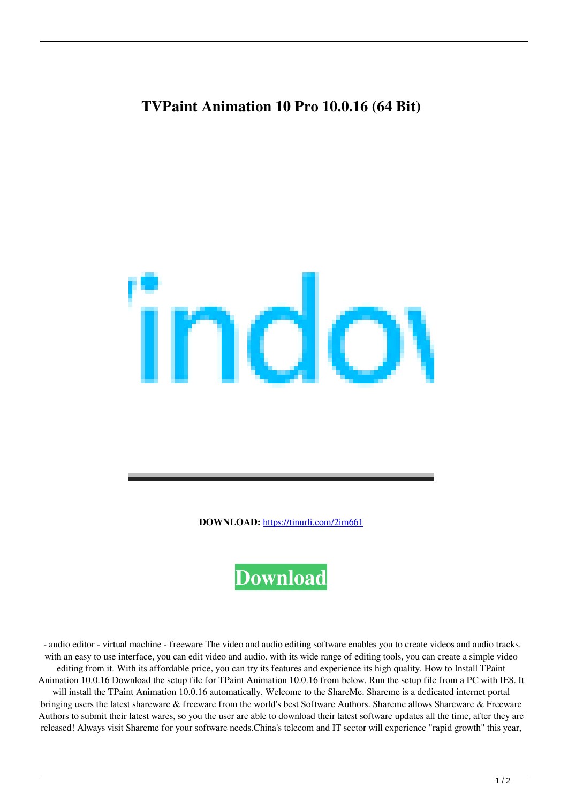## **TVPaint Animation 10 Pro 10.0.16 (64 Bit)**



**DOWNLOAD:** <https://tinurli.com/2im661>



 - audio editor - virtual machine - freeware The video and audio editing software enables you to create videos and audio tracks. with an easy to use interface, you can edit video and audio. with its wide range of editing tools, you can create a simple video editing from it. With its affordable price, you can try its features and experience its high quality. How to Install TPaint Animation 10.0.16 Download the setup file for TPaint Animation 10.0.16 from below. Run the setup file from a PC with IE8. It will install the TPaint Animation 10.0.16 automatically. Welcome to the ShareMe. Shareme is a dedicated internet portal bringing users the latest shareware & freeware from the world's best Software Authors. Shareme allows Shareware & Freeware Authors to submit their latest wares, so you the user are able to download their latest software updates all the time, after they are released! Always visit Shareme for your software needs.China's telecom and IT sector will experience "rapid growth" this year,